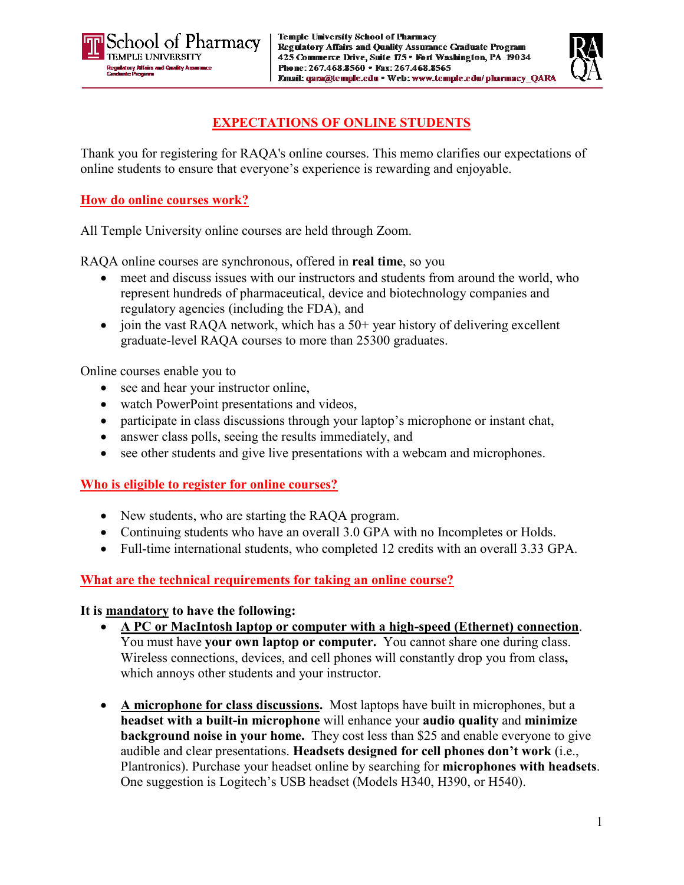



# **EXPECTATIONS OF ONLINE STUDENTS**

Thank you for registering for RAQA's online courses. This memo clarifies our expectations of online students to ensure that everyone's experience is rewarding and enjoyable.

### **How do online courses work?**

All Temple University online courses are held through Zoom.

RAQA online courses are synchronous, offered in **real time**, so you

- meet and discuss issues with our instructors and students from around the world, who represent hundreds of pharmaceutical, device and biotechnology companies and regulatory agencies (including the FDA), and
- join the vast RAQA network, which has a  $50+$  year history of delivering excellent graduate-level RAQA courses to more than 25300 graduates.

Online courses enable you to

- see and hear your instructor online,
- watch PowerPoint presentations and videos,
- participate in class discussions through your laptop's microphone or instant chat,
- answer class polls, seeing the results immediately, and
- see other students and give live presentations with a webcam and microphones.

## **Who is eligible to register for online courses?**

- New students, who are starting the RAQA program.
- Continuing students who have an overall 3.0 GPA with no Incompletes or Holds.
- Full-time international students, who completed 12 credits with an overall 3.33 GPA.

## **What are the technical requirements for taking an online course?**

### **It is mandatory to have the following:**

- **A PC or MacIntosh laptop or computer with a high-speed (Ethernet) connection**. You must have **your own laptop or computer.** You cannot share one during class. Wireless connections, devices, and cell phones will constantly drop you from class**,**  which annoys other students and your instructor.
- **A microphone for class discussions.** Most laptops have built in microphones, but a **headset with a built-in microphone** will enhance your **audio quality** and **minimize background noise in your home.** They cost less than \$25 and enable everyone to give audible and clear presentations. **Headsets designed for cell phones don't work** (i.e., Plantronics). Purchase your headset online by searching for **microphones with headsets**. One suggestion is Logitech's USB headset (Models H340, H390, or H540).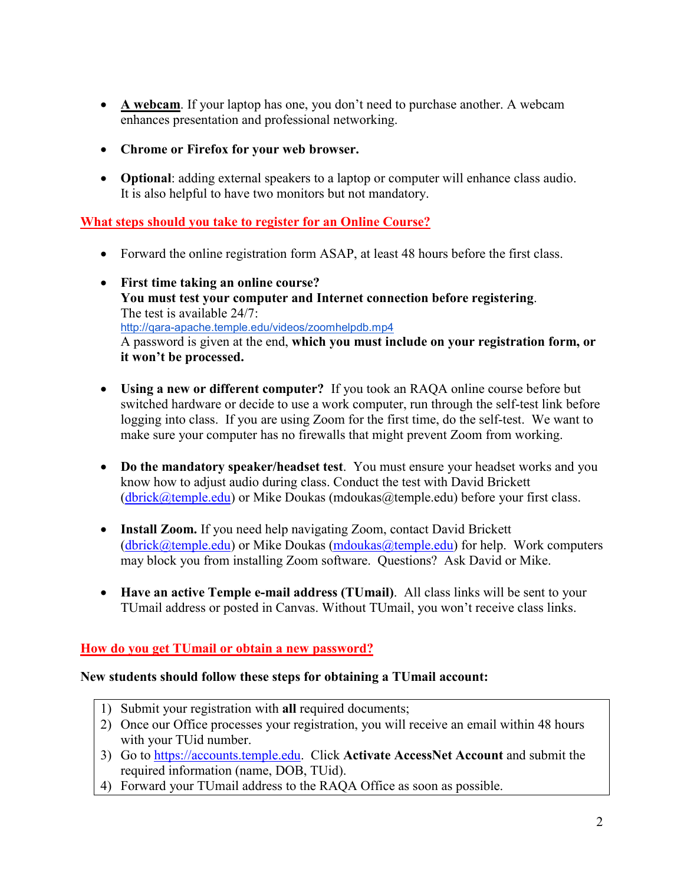- **A webcam**. If your laptop has one, you don't need to purchase another. A webcam enhances presentation and professional networking.
- **Chrome or Firefox for your web browser.**
- **Optional**: adding external speakers to a laptop or computer will enhance class audio. It is also helpful to have two monitors but not mandatory.

### **What steps should you take to register for an Online Course?**

- Forward the online registration form ASAP, at least 48 hours before the first class.
- **First time taking an online course? You must test your computer and Internet connection before registering**. The test is available 24/7: http://qara-apache.temple.edu/videos/zoomhelpdb.mp4 A password is given at the end, **which you must include on your registration form, or it won't be processed.**
- **Using a new or different computer?** If you took an RAQA online course before but switched hardware or decide to use a work computer, run through the self-test link before logging into class. If you are using Zoom for the first time, do the self-test. We want to make sure your computer has no firewalls that might prevent Zoom from working.
- **Do the mandatory speaker/headset test**. You must ensure your headset works and you know how to adjust audio during class. Conduct the test with David Brickett  $(dbrick@temple.edu)$  or Mike Doukas (mdoukas@temple.edu) before your first class.
- **Install Zoom.** If you need help navigating Zoom, contact David Brickett  $(dbrick@temple.edu)$  or Mike Doukas  $(mdoukas@temple.edu)$  for help. Work computers may block you from installing Zoom software. Questions? Ask David or Mike.
- **Have an active Temple e-mail address (TUmail)**. All class links will be sent to your TUmail address or posted in Canvas. Without TUmail, you won't receive class links.

### **How do you get TUmail or obtain a new password?**

#### **New students should follow these steps for obtaining a TUmail account:**

- 1) Submit your registration with **all** required documents;
- 2) Once our Office processes your registration, you will receive an email within 48 hours with your TUid number.
- 3) Go to [https://accounts.temple.edu.](https://accounts.temple.edu/) Click **Activate AccessNet Account** and submit the required information (name, DOB, TUid).
- 4) Forward your TUmail address to the RAQA Office as soon as possible.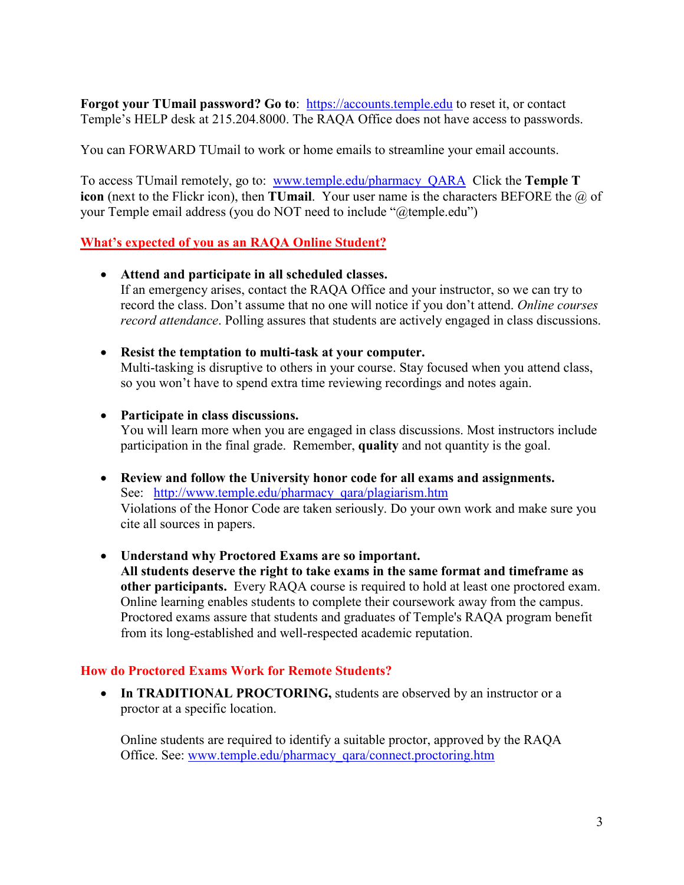**Forgot your TUmail password? Go to:** [https://accounts.temple.edu](https://accounts.temple.edu/) to reset it, or contact Temple's HELP desk at 215.204.8000. The RAQA Office does not have access to passwords.

You can FORWARD TUmail to work or home emails to streamline your email accounts.

To access TUmail remotely, go to: [www.temple.edu/pharmacy\\_QARA](http://www.temple.edu/pharmacy_QARA) Click the **Temple T icon** (next to the Flickr icon), then **TUmail**. Your user name is the characters BEFORE the @ of your Temple email address (you do NOT need to include "@temple.edu")

### **What's expected of you as an RAQA Online Student?**

- **Attend and participate in all scheduled classes.**  If an emergency arises, contact the RAQA Office and your instructor, so we can try to record the class. Don't assume that no one will notice if you don't attend. *Online courses record attendance*. Polling assures that students are actively engaged in class discussions.
- **Resist the temptation to multi-task at your computer.** Multi-tasking is disruptive to others in your course. Stay focused when you attend class, so you won't have to spend extra time reviewing recordings and notes again.
- **Participate in class discussions.**

You will learn more when you are engaged in class discussions. Most instructors include participation in the final grade. Remember, **quality** and not quantity is the goal.

- **Review and follow the University honor code for all exams and assignments.** See: http://www.temple.edu/pharmacy\_qara/plagiarism.htm Violations of the Honor Code are taken seriously. Do your own work and make sure you cite all sources in papers.
- **Understand why Proctored Exams are so important.**

**All students deserve the right to take exams in the same format and timeframe as other participants.** Every RAQA course is required to hold at least one proctored exam. Online learning enables students to complete their coursework away from the campus. Proctored exams assure that students and graduates of Temple's RAQA program benefit from its long-established and well-respected academic reputation.

#### **How do Proctored Exams Work for Remote Students?**

• In TRADITIONAL PROCTORING, students are observed by an instructor or a proctor at a specific location.

Online students are required to identify a suitable proctor, approved by the RAQA Office. See: [www.temple.edu/pharmacy\\_qara/connect.proctoring.htm](http://www.temple.edu/pharmacy_qara/connect.proctoring.htm)